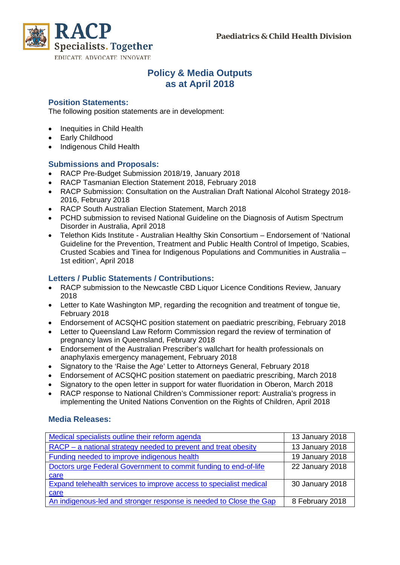

# **Policy & Media Outputs as at April 2018**

## **Position Statements:**

The following position statements are in development:

- Inequities in Child Health
- Early Childhood
- Indigenous Child Health

#### **Submissions and Proposals:**

- RACP Pre-Budget Submission 2018/19, January 2018
- RACP Tasmanian Election Statement 2018, February 2018
- RACP Submission: Consultation on the Australian Draft National Alcohol Strategy 2018- 2016, February 2018
- RACP South Australian Election Statement, March 2018
- PCHD submission to revised National Guideline on the Diagnosis of Autism Spectrum Disorder in Australia, April 2018
- Telethon Kids Institute Australian Healthy Skin Consortium Endorsement of 'National Guideline for the Prevention, Treatment and Public Health Control of Impetigo, Scabies, Crusted Scabies and Tinea for Indigenous Populations and Communities in Australia – 1st edition', April 2018

## **Letters / Public Statements / Contributions:**

- RACP submission to the Newcastle CBD Liquor Licence Conditions Review, January 2018
- Letter to Kate Washington MP, regarding the recognition and treatment of tongue tie, February 2018
- Endorsement of ACSQHC position statement on paediatric prescribing, February 2018
- Letter to Queensland Law Reform Commission regard the review of termination of pregnancy laws in Queensland, February 2018
- Endorsement of the Australian Prescriber's wallchart for health professionals on anaphylaxis emergency management, February 2018
- Signatory to the 'Raise the Age' Letter to Attorneys General, February 2018
- Endorsement of ACSQHC position statement on paediatric prescribing, March 2018
- Signatory to the open letter in support for water fluoridation in Oberon, March 2018
- RACP response to National Children's Commissioner report: Australia's progress in implementing the United Nations Convention on the Rights of Children, April 2018

#### **Media Releases:**

| Medical specialists outline their reform agenda                    | 13 January 2018 |
|--------------------------------------------------------------------|-----------------|
| RACP - a national strategy needed to prevent and treat obesity     | 13 January 2018 |
| Funding needed to improve indigenous health                        | 19 January 2018 |
| Doctors urge Federal Government to commit funding to end-of-life   | 22 January 2018 |
| care                                                               |                 |
| Expand telehealth services to improve access to specialist medical | 30 January 2018 |
| care                                                               |                 |
| An indigenous-led and stronger response is needed to Close the Gap | 8 February 2018 |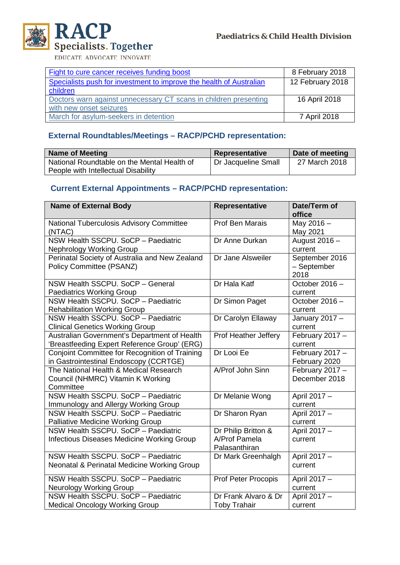

EDUCATE ADVOCATE INNOVATE

| Fight to cure cancer receives funding boost                         | 8 February 2018  |
|---------------------------------------------------------------------|------------------|
| Specialists push for investment to improve the health of Australian | 12 February 2018 |
| children                                                            |                  |
| Doctors warn against unnecessary CT scans in children presenting    | 16 April 2018    |
| with new onset seizures                                             |                  |
| March for asylum-seekers in detention                               | 7 April 2018     |

## **External Roundtables/Meetings – RACP/PCHD representation:**

| <b>Name of Meeting</b>                      | Representative      | Date of meeting |
|---------------------------------------------|---------------------|-----------------|
| National Roundtable on the Mental Health of | Dr Jacqueline Small | 27 March 2018   |
| People with Intellectual Disability         |                     |                 |

# **Current External Appointments – RACP/PCHD representation:**

| <b>Name of External Body</b>                                                                   | <b>Representative</b> | Date/Term of               |
|------------------------------------------------------------------------------------------------|-----------------------|----------------------------|
|                                                                                                |                       | office                     |
| National Tuberculosis Advisory Committee                                                       | Prof Ben Marais       | May 2016 -                 |
| (NTAC)                                                                                         |                       | May 2021                   |
| NSW Health SSCPU. SoCP - Paediatric                                                            | Dr Anne Durkan        | August 2016 -              |
| <b>Nephrology Working Group</b>                                                                |                       | current                    |
| Perinatal Society of Australia and New Zealand                                                 | Dr Jane Alsweiler     | September 2016             |
| Policy Committee (PSANZ)                                                                       |                       | - September                |
|                                                                                                |                       | 2018                       |
| NSW Health SSCPU. SoCP - General                                                               | Dr Hala Katf          | October 2016 -             |
| <b>Paediatrics Working Group</b>                                                               |                       | current                    |
| NSW Health SSCPU. SoCP - Paediatric                                                            | Dr Simon Paget        | October 2016 -             |
| <b>Rehabilitation Working Group</b><br>NSW Health SSCPU, SoCP - Paediatric                     |                       | current                    |
|                                                                                                | Dr Carolyn Ellaway    | January 2017 -             |
| <b>Clinical Genetics Working Group</b>                                                         |                       | current                    |
| Australian Government's Department of Health                                                   | Prof Heather Jeffery  | February 2017 -            |
| 'Breastfeeding Expert Reference Group' (ERG)<br>Conjoint Committee for Recognition of Training | Dr Looi Ee            | current<br>February 2017 - |
| in Gastrointestinal Endoscopy (CCRTGE)                                                         |                       | February 2020              |
| The National Health & Medical Research                                                         | A/Prof John Sinn      | February 2017 -            |
| Council (NHMRC) Vitamin K Working                                                              |                       | December 2018              |
| Committee                                                                                      |                       |                            |
| NSW Health SSCPU. SoCP - Paediatric                                                            | Dr Melanie Wong       | April 2017 -               |
| Immunology and Allergy Working Group                                                           |                       | current                    |
| NSW Health SSCPU, SoCP - Paediatric                                                            | Dr Sharon Ryan        | April 2017 -               |
| Palliative Medicine Working Group                                                              |                       | current                    |
| NSW Health SSCPU, SoCP - Paediatric                                                            | Dr Philip Britton &   | April 2017 -               |
| <b>Infectious Diseases Medicine Working Group</b>                                              | A/Prof Pamela         | current                    |
|                                                                                                | Palasanthiran         |                            |
| NSW Health SSCPU, SoCP - Paediatric                                                            | Dr Mark Greenhalgh    | April 2017 -               |
| Neonatal & Perinatal Medicine Working Group                                                    |                       | current                    |
|                                                                                                |                       |                            |
| NSW Health SSCPU. SoCP - Paediatric                                                            | Prof Peter Procopis   | April 2017 -               |
| <b>Neurology Working Group</b>                                                                 |                       | current                    |
| NSW Health SSCPU, SoCP - Paediatric                                                            | Dr Frank Alvaro & Dr  | April 2017 -               |
| <b>Medical Oncology Working Group</b>                                                          | <b>Toby Trahair</b>   | current                    |